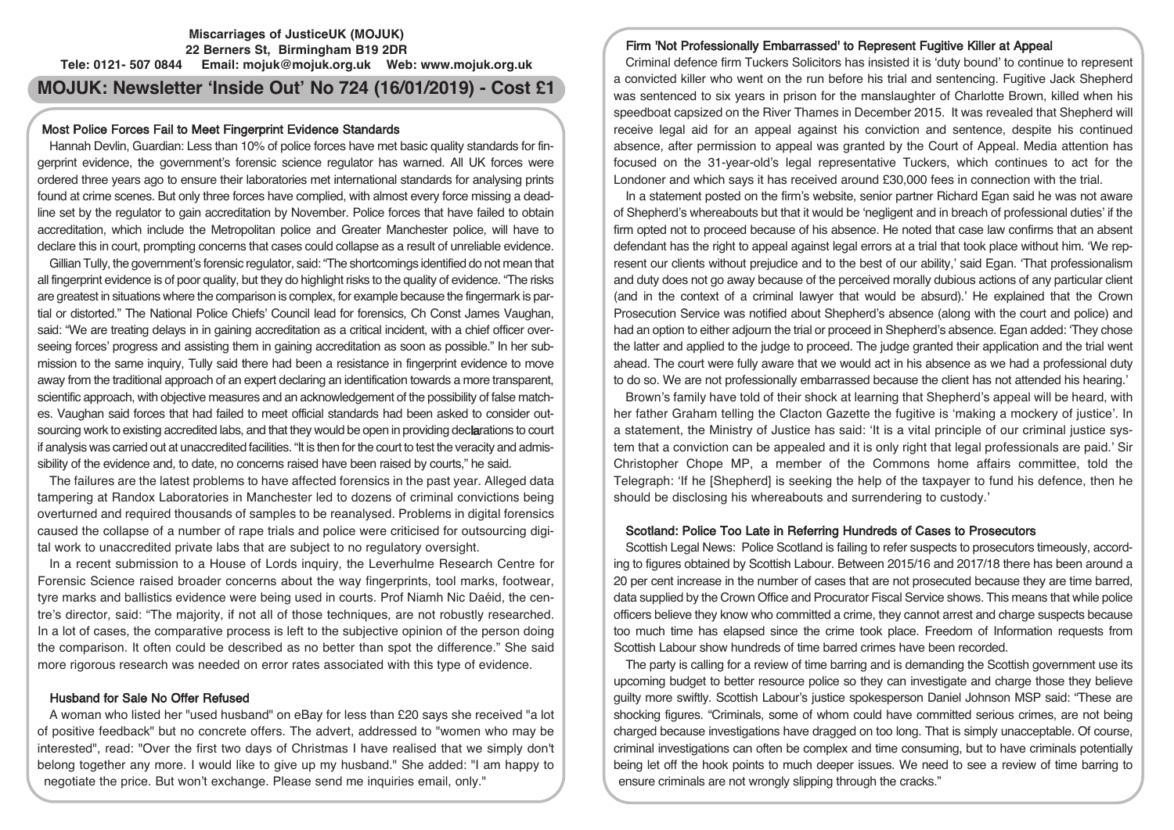# **Miscarriages of JusticeUK (MOJUK) 22 Berners St, Birmingham B19 2DR Tele: 0121- 507 0844 Email: mojuk@mojuk.org.uk Web: www.mojuk.org.uk MOJUK: Newsletter 'Inside Out' No 724 (16/01/2019) - Cost £1**

# Most Police Forces Fail to Meet Fingerprint Evidence Standards

Hannah Devlin, Guardian: Less than 10% of police forces have met basic quality standards for fingerprint evidence, the government's forensic science regulator has warned. All UK forces were ordered three years ago to ensure their laboratories met international standards for analysing prints found at crime scenes. But only three forces have complied, with almost every force missing a deadline set by the regulator to gain accreditation by November. Police forces that have failed to obtain accreditation, which include the Metropolitan police and Greater Manchester police, will have to declare this in court, prompting concerns that cases could collapse as a result of unreliable evidence.

Gillian Tully, the government's forensic regulator, said:"The shortcomings identified do not mean that all fingerprint evidence is of poor quality, but they do highlight risks to the quality of evidence. "The risks are greatest in situations where the comparison is complex, for example because the fingermark is partial or distorted." The National Police Chiefs' Council lead for forensics, Ch Const James Vaughan, said: "We are treating delays in in gaining accreditation as a critical incident, with a chief officer overseeing forces' progress and assisting them in gaining accreditation as soon as possible." In her submission to the same inquiry, Tully said there had been a resistance in fingerprint evidence to move away from the traditional approach of an expert declaring an identification towards a more transparent, scientific approach, with objective measures and an acknowledgement of the possibility of false matches. Vaughan said forces that had failed to meet official standards had been asked to consider outsourcing work to existing accredited labs, and that they would be open in providing declarations to court if analysis was carried out at unaccredited facilities. "It is then for the court to test the veracity and admissibility of the evidence and, to date, no concerns raised have been raised by courts," he said.

The failures are the latest problems to have affected forensics in the past year. Alleged data tampering at Randox Laboratories in Manchester led to dozens of criminal convictions being overturned and required thousands of samples to be reanalysed. Problems in digital forensics caused the collapse of a number of rape trials and police were criticised for outsourcing digital work to unaccredited private labs that are subject to no regulatory oversight.

In a recent submission to a House of Lords inquiry, the Leverhulme Research Centre for Forensic Science raised broader concerns about the way fingerprints, tool marks, footwear, tyre marks and ballistics evidence were being used in courts. Prof Niamh Nic Daéid, the centre's director, said: "The majority, if not all of those techniques, are not robustly researched. In a lot of cases, the comparative process is left to the subjective opinion of the person doing the comparison. It often could be described as no better than spot the difference." She said more rigorous research was needed on error rates associated with this type of evidence.

#### Husband for Sale No Offer Refused

A woman who listed her "used husband" on eBay for less than £20 says she received "a lot of positive feedback" but no concrete offers. The advert, addressed to "women who may be interested", read: "Over the first two days of Christmas I have realised that we simply don't belong together any more. I would like to give up my husband." She added: "I am happy to negotiate the price. But won't exchange. Please send me inquiries email, only."

#### Firm 'Not Professionally Embarrassed' to Represent Fugitive Killer at Appeal

Criminal defence firm Tuckers Solicitors has insisted it is 'duty bound' to continue to represent a convicted killer who went on the run before his trial and sentencing. Fugitive Jack Shepherd was sentenced to six years in prison for the manslaughter of Charlotte Brown, killed when his speedboat capsized on the River Thames in December 2015. It was revealed that Shepherd will receive legal aid for an appeal against his conviction and sentence, despite his continued absence, after permission to appeal was granted by the Court of Appeal. Media attention has focused on the 31-year-old's legal representative Tuckers, which continues to act for the Londoner and which says it has received around £30,000 fees in connection with the trial.

In a statement posted on the firm's website, senior partner Richard Egan said he was not aware of Shepherd's whereabouts but that it would be 'negligent and in breach of professional duties' if the firm opted not to proceed because of his absence. He noted that case law confirms that an absent defendant has the right to appeal against legal errors at a trial that took place without him. 'We represent our clients without prejudice and to the best of our ability,' said Egan. 'That professionalism and duty does not go away because of the perceived morally dubious actions of any particular client (and in the context of a criminal lawyer that would be absurd).' He explained that the Crown Prosecution Service was notified about Shepherd's absence (along with the court and police) and had an option to either adjourn the trial or proceed in Shepherd's absence. Egan added: 'They chose the latter and applied to the judge to proceed. The judge granted their application and the trial went ahead. The court were fully aware that we would act in his absence as we had a professional duty to do so. We are not professionally embarrassed because the client has not attended his hearing.'

Brown's family have told of their shock at learning that Shepherd's appeal will be heard, with her father Graham telling the Clacton Gazette the fugitive is 'making a mockery of justice'. In a statement, the Ministry of Justice has said: 'It is a vital principle of our criminal justice system that a conviction can be appealed and it is only right that legal professionals are paid.' Sir Christopher Chope MP, a member of the Commons home affairs committee, told the Telegraph: 'If he [Shepherd] is seeking the help of the taxpayer to fund his defence, then he should be disclosing his whereabouts and surrendering to custody.'

## Scotland: Police Too Late in Referring Hundreds of Cases to Prosecutors

Scottish Legal News: Police Scotland is failing to refer suspects to prosecutors timeously, according to figures obtained by Scottish Labour. Between 2015/16 and 2017/18 there has been around a 20 per cent increase in the number of cases that are not prosecuted because they are time barred, data supplied by the Crown Office and Procurator Fiscal Service shows. This means that while police officers believe they know who committed a crime, they cannot arrest and charge suspects because too much time has elapsed since the crime took place. Freedom of Information requests from Scottish Labour show hundreds of time barred crimes have been recorded.

The party is calling for a review of time barring and is demanding the Scottish government use its upcoming budget to better resource police so they can investigate and charge those they believe guilty more swiftly. Scottish Labour's justice spokesperson Daniel Johnson MSP said: "These are shocking figures. "Criminals, some of whom could have committed serious crimes, are not being charged because investigations have dragged on too long. That is simply unacceptable. Of course, criminal investigations can often be complex and time consuming, but to have criminals potentially being let off the hook points to much deeper issues. We need to see a review of time barring to ensure criminals are not wrongly slipping through the cracks."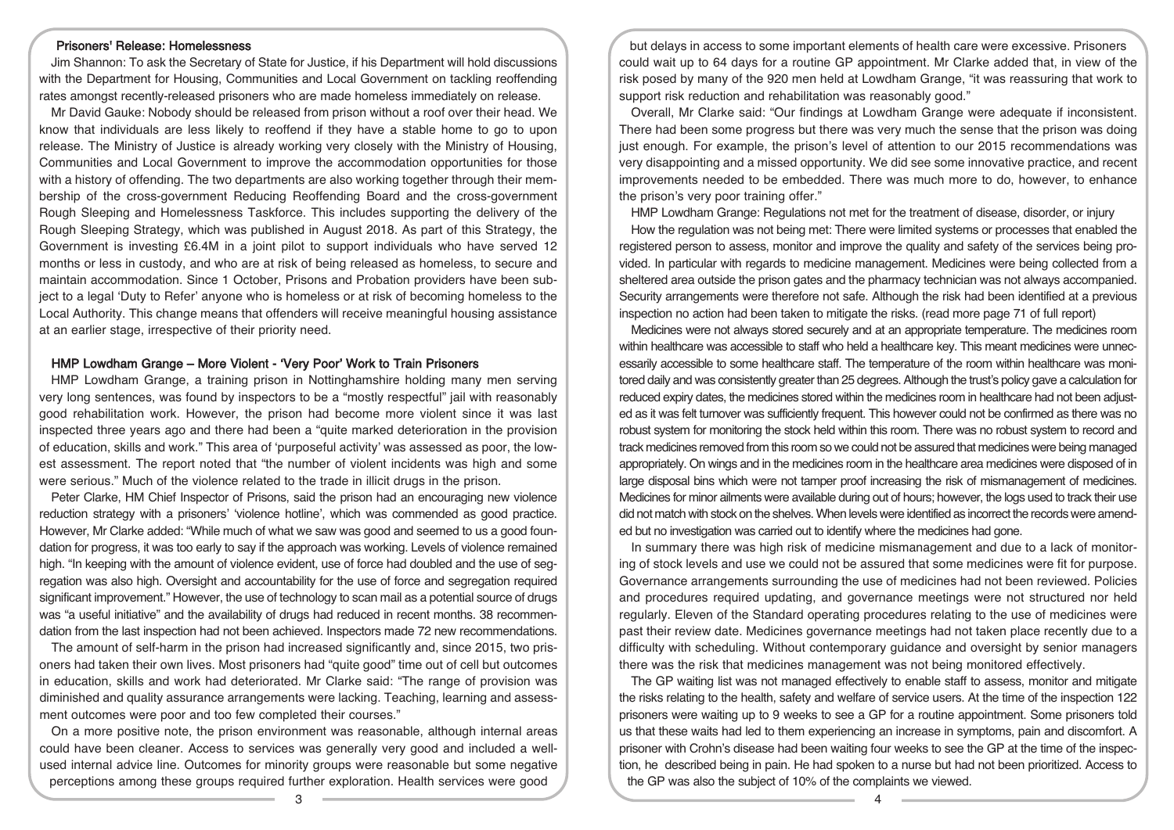#### Prisoners' Release: Homelessness

Jim Shannon: To ask the Secretary of State for Justice, if his Department will hold discussions with the Department for Housing, Communities and Local Government on tackling reoffending rates amongst recently-released prisoners who are made homeless immediately on release.

Mr David Gauke: Nobody should be released from prison without a roof over their head. We know that individuals are less likely to reoffend if they have a stable home to go to upon release. The Ministry of Justice is already working very closely with the Ministry of Housing, Communities and Local Government to improve the accommodation opportunities for those with a history of offending. The two departments are also working together through their membership of the cross-government Reducing Reoffending Board and the cross-government Rough Sleeping and Homelessness Taskforce. This includes supporting the delivery of the Rough Sleeping Strategy, which was published in August 2018. As part of this Strategy, the Government is investing £6.4M in a joint pilot to support individuals who have served 12 months or less in custody, and who are at risk of being released as homeless, to secure and maintain accommodation. Since 1 October, Prisons and Probation providers have been subject to a legal 'Duty to Refer' anyone who is homeless or at risk of becoming homeless to the Local Authority. This change means that offenders will receive meaningful housing assistance at an earlier stage, irrespective of their priority need.

#### HMP Lowdham Grange – More Violent - 'Very Poor' Work to Train Prisoners

HMP Lowdham Grange, a training prison in Nottinghamshire holding many men serving very long sentences, was found by inspectors to be a "mostly respectful" jail with reasonably good rehabilitation work. However, the prison had become more violent since it was last inspected three years ago and there had been a "quite marked deterioration in the provision of education, skills and work." This area of 'purposeful activity' was assessed as poor, the lowest assessment. The report noted that "the number of violent incidents was high and some were serious." Much of the violence related to the trade in illicit drugs in the prison.

Peter Clarke, HM Chief Inspector of Prisons, said the prison had an encouraging new violence reduction strategy with a prisoners' 'violence hotline', which was commended as good practice. However, Mr Clarke added: "While much of what we saw was good and seemed to us a good foundation for progress, it was too early to say if the approach was working. Levels of violence remained high. "In keeping with the amount of violence evident, use of force had doubled and the use of segregation was also high. Oversight and accountability for the use of force and segregation required significant improvement." However, the use of technology to scan mail as a potential source of drugs was "a useful initiative" and the availability of drugs had reduced in recent months. 38 recommendation from the last inspection had not been achieved. Inspectors made 72 new recommendations.

The amount of self-harm in the prison had increased significantly and, since 2015, two prisoners had taken their own lives. Most prisoners had "quite good" time out of cell but outcomes in education, skills and work had deteriorated. Mr Clarke said: "The range of provision was diminished and quality assurance arrangements were lacking. Teaching, learning and assessment outcomes were poor and too few completed their courses."

On a more positive note, the prison environment was reasonable, although internal areas could have been cleaner. Access to services was generally very good and included a wellused internal advice line. Outcomes for minority groups were reasonable but some negative perceptions among these groups required further exploration. Health services were good

but delays in access to some important elements of health care were excessive. Prisoners could wait up to 64 days for a routine GP appointment. Mr Clarke added that, in view of the risk posed by many of the 920 men held at Lowdham Grange, "it was reassuring that work to support risk reduction and rehabilitation was reasonably good."

Overall, Mr Clarke said: "Our findings at Lowdham Grange were adequate if inconsistent. There had been some progress but there was very much the sense that the prison was doing just enough. For example, the prison's level of attention to our 2015 recommendations was very disappointing and a missed opportunity. We did see some innovative practice, and recent improvements needed to be embedded. There was much more to do, however, to enhance the prison's very poor training offer."

HMP Lowdham Grange: Regulations not met for the treatment of disease, disorder, or injury

How the regulation was not being met: There were limited systems or processes that enabled the registered person to assess, monitor and improve the quality and safety of the services being provided. In particular with regards to medicine management. Medicines were being collected from a sheltered area outside the prison gates and the pharmacy technician was not always accompanied. Security arrangements were therefore not safe. Although the risk had been identified at a previous inspection no action had been taken to mitigate the risks. (read more page 71 of full report)

Medicines were not always stored securely and at an appropriate temperature. The medicines room within healthcare was accessible to staff who held a healthcare key. This meant medicines were unnecessarily accessible to some healthcare staff. The temperature of the room within healthcare was monitored daily and was consistently greater than 25 degrees. Although the trust's policy gave a calculation for reduced expiry dates, the medicines stored within the medicines room in healthcare had not been adjusted as it was felt turnover was sufficiently frequent. This however could not be confirmed as there was no robust system for monitoring the stock held within this room. There was no robust system to record and track medicines removed from this room so we could not be assured that medicines were being managed appropriately. On wings and in the medicines room in the healthcare area medicines were disposed of in large disposal bins which were not tamper proof increasing the risk of mismanagement of medicines. Medicines for minor ailments were available during out of hours; however, the logs used to track their use did not match with stock on the shelves.When levels were identified as incorrect the records were amended but no investigation was carried out to identify where the medicines had gone.

In summary there was high risk of medicine mismanagement and due to a lack of monitoring of stock levels and use we could not be assured that some medicines were fit for purpose. Governance arrangements surrounding the use of medicines had not been reviewed. Policies and procedures required updating, and governance meetings were not structured nor held regularly. Eleven of the Standard operating procedures relating to the use of medicines were past their review date. Medicines governance meetings had not taken place recently due to a difficulty with scheduling. Without contemporary guidance and oversight by senior managers there was the risk that medicines management was not being monitored effectively.

The GP waiting list was not managed effectively to enable staff to assess, monitor and mitigate the risks relating to the health, safety and welfare of service users. At the time of the inspection 122 prisoners were waiting up to 9 weeks to see a GP for a routine appointment. Some prisoners told us that these waits had led to them experiencing an increase in symptoms, pain and discomfort. A prisoner with Crohn's disease had been waiting four weeks to see the GP at the time of the inspection, he described being in pain. He had spoken to a nurse but had not been prioritized. Access to the GP was also the subject of 10% of the complaints we viewed.

 $\overline{3}$   $\overline{4}$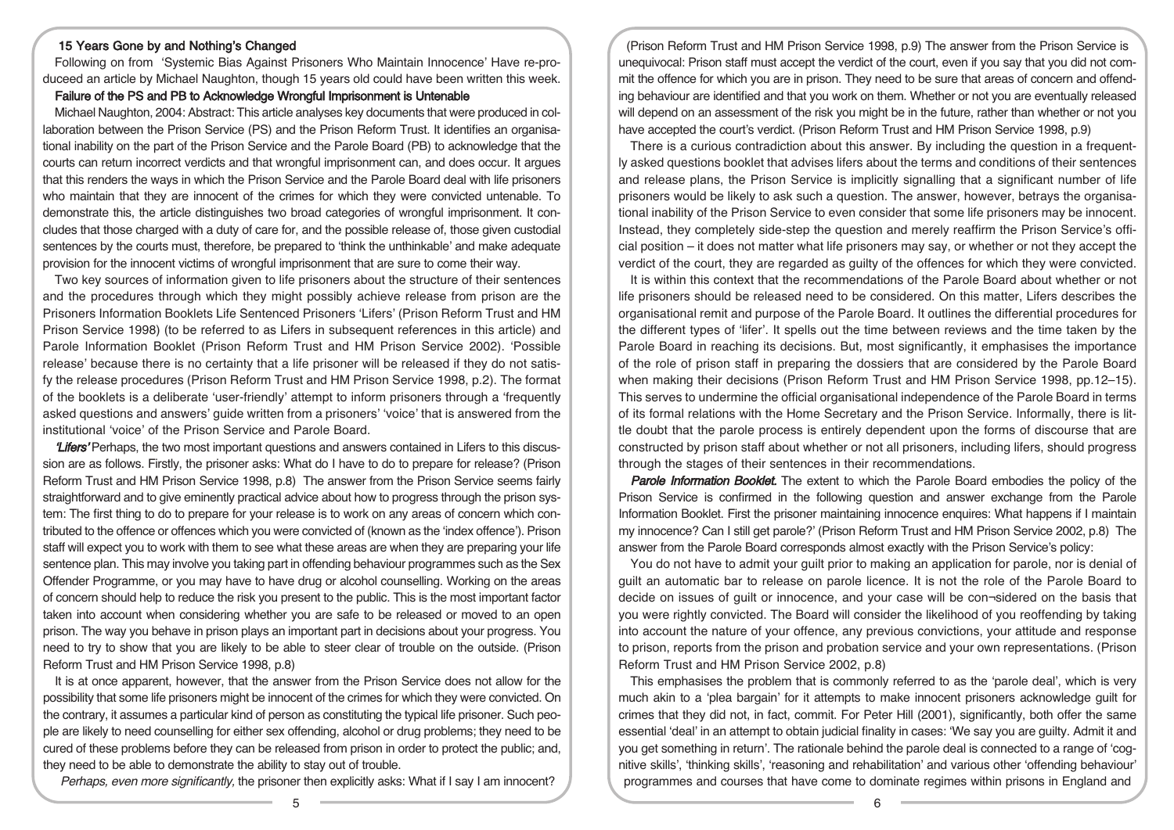# 15 Years Gone by and Nothing's Changed

Following on from 'Systemic Bias Against Prisoners Who Maintain Innocence' Have re-produceed an article by Michael Naughton, though 15 years old could have been written this week.

#### Failure of the PS and PB to Acknowledge Wrongful Imprisonment is Untenable

Michael Naughton, 2004: Abstract: This article analyses key documents that were produced in collaboration between the Prison Service (PS) and the Prison Reform Trust. It identifies an organisational inability on the part of the Prison Service and the Parole Board (PB) to acknowledge that the courts can return incorrect verdicts and that wrongful imprisonment can, and does occur. It argues that this renders the ways in which the Prison Service and the Parole Board deal with life prisoners who maintain that they are innocent of the crimes for which they were convicted untenable. To demonstrate this, the article distinguishes two broad categories of wrongful imprisonment. It concludes that those charged with a duty of care for, and the possible release of, those given custodial sentences by the courts must, therefore, be prepared to 'think the unthinkable' and make adequate provision for the innocent victims of wrongful imprisonment that are sure to come their way.

Two key sources of information given to life prisoners about the structure of their sentences and the procedures through which they might possibly achieve release from prison are the Prisoners Information Booklets Life Sentenced Prisoners 'Lifers' (Prison Reform Trust and HM Prison Service 1998) (to be referred to as Lifers in subsequent references in this article) and Parole Information Booklet (Prison Reform Trust and HM Prison Service 2002). 'Possible release' because there is no certainty that a life prisoner will be released if they do not satisfy the release procedures (Prison Reform Trust and HM Prison Service 1998, p.2). The format of the booklets is a deliberate 'user-friendly' attempt to inform prisoners through a 'frequently asked questions and answers' guide written from a prisoners' 'voice' that is answered from the institutional 'voice' of the Prison Service and Parole Board.

**Lifers'** Perhaps, the two most important questions and answers contained in Lifers to this discussion are as follows. Firstly, the prisoner asks: What do I have to do to prepare for release? (Prison Reform Trust and HM Prison Service 1998, p.8) The answer from the Prison Service seems fairly straightforward and to give eminently practical advice about how to progress through the prison system: The first thing to do to prepare for your release is to work on any areas of concern which contributed to the offence or offences which you were convicted of (known as the 'index offence'). Prison staff will expect you to work with them to see what these areas are when they are preparing your life sentence plan. This may involve you taking part in offending behaviour programmes such as the Sex Offender Programme, or you may have to have drug or alcohol counselling. Working on the areas of concern should help to reduce the risk you present to the public. This is the most important factor taken into account when considering whether you are safe to be released or moved to an open prison. The way you behave in prison plays an important part in decisions about your progress. You need to try to show that you are likely to be able to steer clear of trouble on the outside. (Prison Reform Trust and HM Prison Service 1998, p.8)

It is at once apparent, however, that the answer from the Prison Service does not allow for the possibility that some life prisoners might be innocent of the crimes for which they were convicted. On the contrary, it assumes a particular kind of person as constituting the typical life prisoner. Such people are likely to need counselling for either sex offending, alcohol or drug problems; they need to be cured of these problems before they can be released from prison in order to protect the public; and, they need to be able to demonstrate the ability to stay out of trouble.

Perhaps, even more significantly, the prisoner then explicitly asks: What if I say I am innocent?

(Prison Reform Trust and HM Prison Service 1998, p.9) The answer from the Prison Service is unequivocal: Prison staff must accept the verdict of the court, even if you say that you did not commit the offence for which you are in prison. They need to be sure that areas of concern and offending behaviour are identified and that you work on them. Whether or not you are eventually released will depend on an assessment of the risk you might be in the future, rather than whether or not you have accepted the court's verdict. (Prison Reform Trust and HM Prison Service 1998, p.9)

There is a curious contradiction about this answer. By including the question in a frequently asked questions booklet that advises lifers about the terms and conditions of their sentences and release plans, the Prison Service is implicitly signalling that a significant number of life prisoners would be likely to ask such a question. The answer, however, betrays the organisational inability of the Prison Service to even consider that some life prisoners may be innocent. Instead, they completely side-step the question and merely reaffirm the Prison Service's official position – it does not matter what life prisoners may say, or whether or not they accept the verdict of the court, they are regarded as guilty of the offences for which they were convicted.

It is within this context that the recommendations of the Parole Board about whether or not life prisoners should be released need to be considered. On this matter, Lifers describes the organisational remit and purpose of the Parole Board. It outlines the differential procedures for the different types of 'lifer'. It spells out the time between reviews and the time taken by the Parole Board in reaching its decisions. But, most significantly, it emphasises the importance of the role of prison staff in preparing the dossiers that are considered by the Parole Board when making their decisions (Prison Reform Trust and HM Prison Service 1998, pp.12–15). This serves to undermine the official organisational independence of the Parole Board in terms of its formal relations with the Home Secretary and the Prison Service. Informally, there is little doubt that the parole process is entirely dependent upon the forms of discourse that are constructed by prison staff about whether or not all prisoners, including lifers, should progress through the stages of their sentences in their recommendations.

**Parole Information Booklet.** The extent to which the Parole Board embodies the policy of the Prison Service is confirmed in the following question and answer exchange from the Parole Information Booklet. First the prisoner maintaining innocence enquires: What happens if I maintain my innocence? Can I still get parole?' (Prison Reform Trust and HM Prison Service 2002, p.8) The answer from the Parole Board corresponds almost exactly with the Prison Service's policy:

You do not have to admit your guilt prior to making an application for parole, nor is denial of guilt an automatic bar to release on parole licence. It is not the role of the Parole Board to decide on issues of guilt or innocence, and your case will be con¬sidered on the basis that you were rightly convicted. The Board will consider the likelihood of you reoffending by taking into account the nature of your offence, any previous convictions, your attitude and response to prison, reports from the prison and probation service and your own representations. (Prison Reform Trust and HM Prison Service 2002, p.8)

This emphasises the problem that is commonly referred to as the 'parole deal', which is very much akin to a 'plea bargain' for it attempts to make innocent prisoners acknowledge guilt for crimes that they did not, in fact, commit. For Peter Hill (2001), significantly, both offer the same essential 'deal' in an attempt to obtain judicial finality in cases: 'We say you are guilty. Admit it and you get something in return'. The rationale behind the parole deal is connected to a range of 'cognitive skills', 'thinking skills', 'reasoning and rehabilitation' and various other 'offending behaviour' programmes and courses that have come to dominate regimes within prisons in England and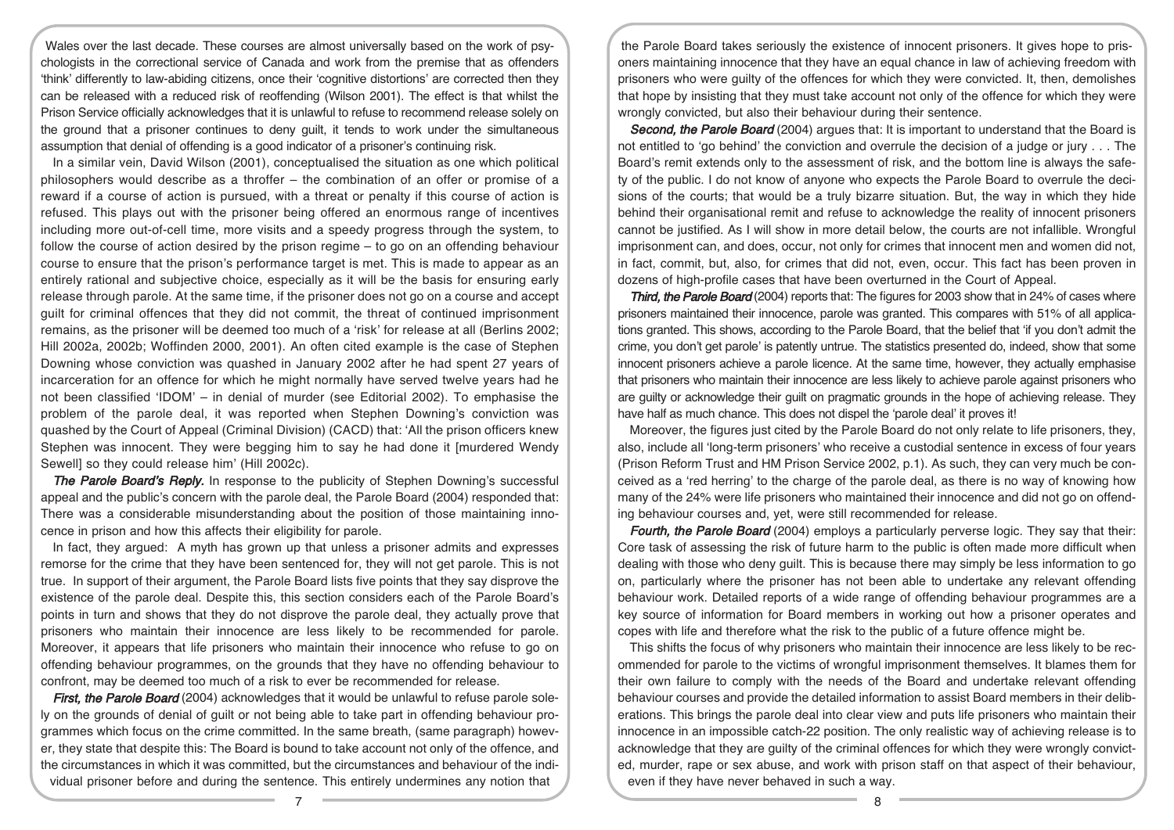Wales over the last decade. These courses are almost universally based on the work of psychologists in the correctional service of Canada and work from the premise that as offenders 'think' differently to law-abiding citizens, once their 'cognitive distortions' are corrected then they can be released with a reduced risk of reoffending (Wilson 2001). The effect is that whilst the Prison Service officially acknowledges that it is unlawful to refuse to recommend release solely on the ground that a prisoner continues to deny guilt, it tends to work under the simultaneous assumption that denial of offending is a good indicator of a prisoner's continuing risk.

In a similar vein, David Wilson (2001), conceptualised the situation as one which political philosophers would describe as a throffer – the combination of an offer or promise of a reward if a course of action is pursued, with a threat or penalty if this course of action is refused. This plays out with the prisoner being offered an enormous range of incentives including more out-of-cell time, more visits and a speedy progress through the system, to follow the course of action desired by the prison regime – to go on an offending behaviour course to ensure that the prison's performance target is met. This is made to appear as an entirely rational and subjective choice, especially as it will be the basis for ensuring early release through parole. At the same time, if the prisoner does not go on a course and accept guilt for criminal offences that they did not commit, the threat of continued imprisonment remains, as the prisoner will be deemed too much of a 'risk' for release at all (Berlins 2002; Hill 2002a, 2002b; Woffinden 2000, 2001). An often cited example is the case of Stephen Downing whose conviction was quashed in January 2002 after he had spent 27 years of incarceration for an offence for which he might normally have served twelve years had he not been classified 'IDOM' – in denial of murder (see Editorial 2002). To emphasise the problem of the parole deal, it was reported when Stephen Downing's conviction was quashed by the Court of Appeal (Criminal Division) (CACD) that: 'All the prison officers knew Stephen was innocent. They were begging him to say he had done it [murdered Wendy Sewell] so they could release him' (Hill 2002c).

The Parole Board's Reply. In response to the publicity of Stephen Downing's successful appeal and the public's concern with the parole deal, the Parole Board (2004) responded that: There was a considerable misunderstanding about the position of those maintaining innocence in prison and how this affects their eligibility for parole.

In fact, they argued: A myth has grown up that unless a prisoner admits and expresses remorse for the crime that they have been sentenced for, they will not get parole. This is not true. In support of their argument, the Parole Board lists five points that they say disprove the existence of the parole deal. Despite this, this section considers each of the Parole Board's points in turn and shows that they do not disprove the parole deal, they actually prove that prisoners who maintain their innocence are less likely to be recommended for parole. Moreover, it appears that life prisoners who maintain their innocence who refuse to go on offending behaviour programmes, on the grounds that they have no offending behaviour to confront, may be deemed too much of a risk to ever be recommended for release.

**First, the Parole Board** (2004) acknowledges that it would be unlawful to refuse parole solely on the grounds of denial of guilt or not being able to take part in offending behaviour programmes which focus on the crime committed. In the same breath, (same paragraph) however, they state that despite this: The Board is bound to take account not only of the offence, and the circumstances in which it was committed, but the circumstances and behaviour of the individual prisoner before and during the sentence. This entirely undermines any notion that

the Parole Board takes seriously the existence of innocent prisoners. It gives hope to prisoners maintaining innocence that they have an equal chance in law of achieving freedom with prisoners who were guilty of the offences for which they were convicted. It, then, demolishes that hope by insisting that they must take account not only of the offence for which they were wrongly convicted, but also their behaviour during their sentence.

Second, the Parole Board (2004) arques that: It is important to understand that the Board is not entitled to 'go behind' the conviction and overrule the decision of a judge or jury . . . The Board's remit extends only to the assessment of risk, and the bottom line is always the safety of the public. I do not know of anyone who expects the Parole Board to overrule the decisions of the courts; that would be a truly bizarre situation. But, the way in which they hide behind their organisational remit and refuse to acknowledge the reality of innocent prisoners cannot be justified. As I will show in more detail below, the courts are not infallible. Wrongful imprisonment can, and does, occur, not only for crimes that innocent men and women did not, in fact, commit, but, also, for crimes that did not, even, occur. This fact has been proven in dozens of high-profile cases that have been overturned in the Court of Appeal.

Third, the Parole Board (2004) reports that: The figures for 2003 show that in 24% of cases where prisoners maintained their innocence, parole was granted. This compares with 51% of all applications granted. This shows, according to the Parole Board, that the belief that 'if you don't admit the crime, you don't get parole' is patently untrue. The statistics presented do, indeed, show that some innocent prisoners achieve a parole licence. At the same time, however, they actually emphasise that prisoners who maintain their innocence are less likely to achieve parole against prisoners who are guilty or acknowledge their guilt on pragmatic grounds in the hope of achieving release. They have half as much chance. This does not dispel the 'parole deal' it proves it!

Moreover, the figures just cited by the Parole Board do not only relate to life prisoners, they, also, include all 'long-term prisoners' who receive a custodial sentence in excess of four years (Prison Reform Trust and HM Prison Service 2002, p.1). As such, they can very much be conceived as a 'red herring' to the charge of the parole deal, as there is no way of knowing how many of the 24% were life prisoners who maintained their innocence and did not go on offending behaviour courses and, yet, were still recommended for release.

Fourth, the Parole Board (2004) employs a particularly perverse logic. They say that their: Core task of assessing the risk of future harm to the public is often made more difficult when dealing with those who deny guilt. This is because there may simply be less information to go on, particularly where the prisoner has not been able to undertake any relevant offending behaviour work. Detailed reports of a wide range of offending behaviour programmes are a key source of information for Board members in working out how a prisoner operates and copes with life and therefore what the risk to the public of a future offence might be.

This shifts the focus of why prisoners who maintain their innocence are less likely to be recommended for parole to the victims of wrongful imprisonment themselves. It blames them for their own failure to comply with the needs of the Board and undertake relevant offending behaviour courses and provide the detailed information to assist Board members in their deliberations. This brings the parole deal into clear view and puts life prisoners who maintain their innocence in an impossible catch-22 position. The only realistic way of achieving release is to acknowledge that they are guilty of the criminal offences for which they were wrongly convicted, murder, rape or sex abuse, and work with prison staff on that aspect of their behaviour, even if they have never behaved in such a way.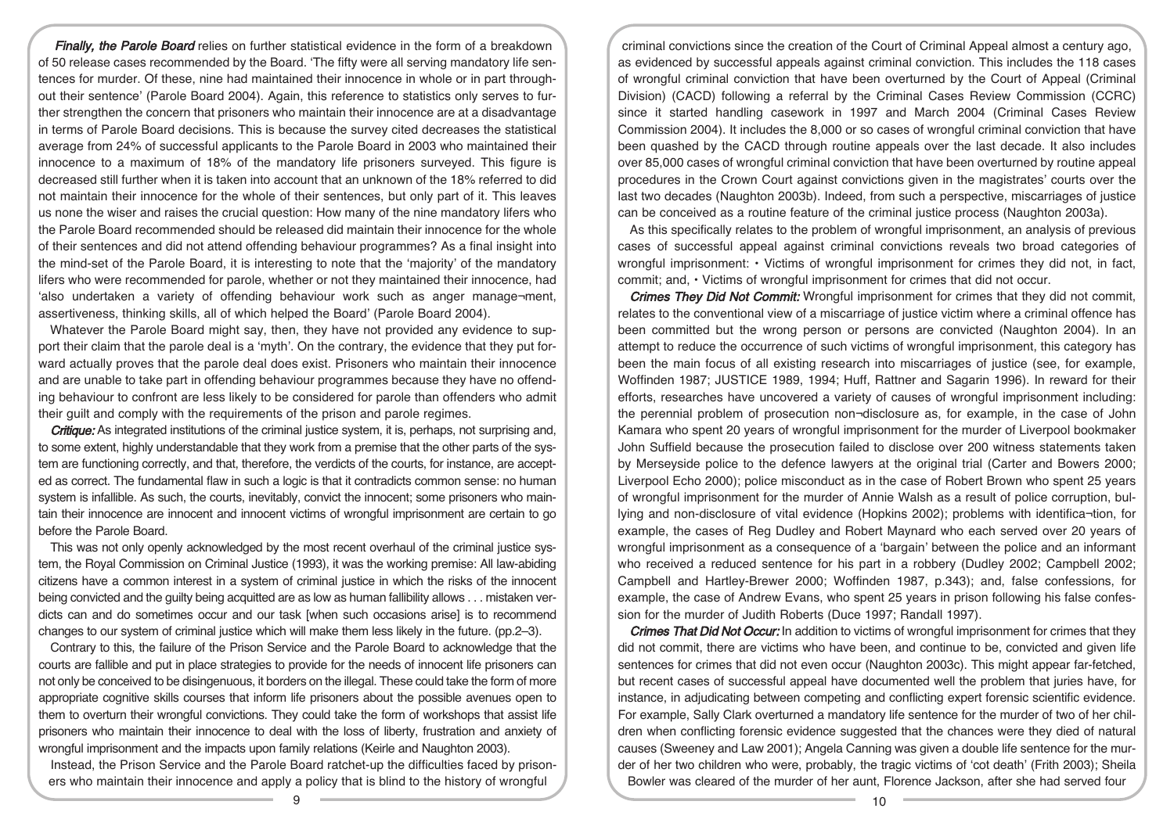Finally. the Parole Board relies on further statistical evidence in the form of a breakdown of 50 release cases recommended by the Board. 'The fifty were all serving mandatory life sentences for murder. Of these, nine had maintained their innocence in whole or in part throughout their sentence' (Parole Board 2004). Again, this reference to statistics only serves to further strengthen the concern that prisoners who maintain their innocence are at a disadvantage in terms of Parole Board decisions. This is because the survey cited decreases the statistical average from 24% of successful applicants to the Parole Board in 2003 who maintained their innocence to a maximum of 18% of the mandatory life prisoners surveyed. This figure is decreased still further when it is taken into account that an unknown of the 18% referred to did not maintain their innocence for the whole of their sentences, but only part of it. This leaves us none the wiser and raises the crucial question: How many of the nine mandatory lifers who the Parole Board recommended should be released did maintain their innocence for the whole of their sentences and did not attend offending behaviour programmes? As a final insight into the mind-set of the Parole Board, it is interesting to note that the 'majority' of the mandatory lifers who were recommended for parole, whether or not they maintained their innocence, had 'also undertaken a variety of offending behaviour work such as anger manage¬ment, assertiveness, thinking skills, all of which helped the Board' (Parole Board 2004).

Whatever the Parole Board might say, then, they have not provided any evidence to support their claim that the parole deal is a 'myth'. On the contrary, the evidence that they put forward actually proves that the parole deal does exist. Prisoners who maintain their innocence and are unable to take part in offending behaviour programmes because they have no offending behaviour to confront are less likely to be considered for parole than offenders who admit their guilt and comply with the requirements of the prison and parole regimes.

**Critique:** As integrated institutions of the criminal justice system, it is, perhaps, not surprising and, to some extent, highly understandable that they work from a premise that the other parts of the system are functioning correctly, and that, therefore, the verdicts of the courts, for instance, are accepted as correct. The fundamental flaw in such a logic is that it contradicts common sense: no human system is infallible. As such, the courts, inevitably, convict the innocent; some prisoners who maintain their innocence are innocent and innocent victims of wrongful imprisonment are certain to go before the Parole Board.

This was not only openly acknowledged by the most recent overhaul of the criminal justice system, the Royal Commission on Criminal Justice (1993), it was the working premise: All law-abiding citizens have a common interest in a system of criminal justice in which the risks of the innocent being convicted and the guilty being acquitted are as low as human fallibility allows . . . mistaken verdicts can and do sometimes occur and our task [when such occasions arise] is to recommend changes to our system of criminal justice which will make them less likely in the future. (pp.2–3).

Contrary to this, the failure of the Prison Service and the Parole Board to acknowledge that the courts are fallible and put in place strategies to provide for the needs of innocent life prisoners can not only be conceived to be disingenuous, it borders on the illegal. These could take the form of more appropriate cognitive skills courses that inform life prisoners about the possible avenues open to them to overturn their wrongful convictions. They could take the form of workshops that assist life prisoners who maintain their innocence to deal with the loss of liberty, frustration and anxiety of wrongful imprisonment and the impacts upon family relations (Keirle and Naughton 2003).

Instead, the Prison Service and the Parole Board ratchet-up the difficulties faced by prisoners who maintain their innocence and apply a policy that is blind to the history of wrongful

criminal convictions since the creation of the Court of Criminal Appeal almost a century ago, as evidenced by successful appeals against criminal conviction. This includes the 118 cases of wrongful criminal conviction that have been overturned by the Court of Appeal (Criminal Division) (CACD) following a referral by the Criminal Cases Review Commission (CCRC) since it started handling casework in 1997 and March 2004 (Criminal Cases Review Commission 2004). It includes the 8,000 or so cases of wrongful criminal conviction that have been quashed by the CACD through routine appeals over the last decade. It also includes over 85,000 cases of wrongful criminal conviction that have been overturned by routine appeal procedures in the Crown Court against convictions given in the magistrates' courts over the last two decades (Naughton 2003b). Indeed, from such a perspective, miscarriages of justice can be conceived as a routine feature of the criminal justice process (Naughton 2003a).

As this specifically relates to the problem of wrongful imprisonment, an analysis of previous cases of successful appeal against criminal convictions reveals two broad categories of wrongful imprisonment: • Victims of wrongful imprisonment for crimes they did not, in fact, commit; and, • Victims of wrongful imprisonment for crimes that did not occur.

**Crimes They Did Not Commit:** Wrongful imprisonment for crimes that they did not commit, relates to the conventional view of a miscarriage of justice victim where a criminal offence has been committed but the wrong person or persons are convicted (Naughton 2004). In an attempt to reduce the occurrence of such victims of wrongful imprisonment, this category has been the main focus of all existing research into miscarriages of justice (see, for example, Woffinden 1987; JUSTICE 1989, 1994; Huff, Rattner and Sagarin 1996). In reward for their efforts, researches have uncovered a variety of causes of wrongful imprisonment including: the perennial problem of prosecution non¬disclosure as, for example, in the case of John Kamara who spent 20 years of wrongful imprisonment for the murder of Liverpool bookmaker John Suffield because the prosecution failed to disclose over 200 witness statements taken by Merseyside police to the defence lawyers at the original trial (Carter and Bowers 2000; Liverpool Echo 2000); police misconduct as in the case of Robert Brown who spent 25 years of wrongful imprisonment for the murder of Annie Walsh as a result of police corruption, bullying and non-disclosure of vital evidence (Hopkins 2002); problems with identifica¬tion, for example, the cases of Reg Dudley and Robert Maynard who each served over 20 years of wrongful imprisonment as a consequence of a 'bargain' between the police and an informant who received a reduced sentence for his part in a robbery (Dudley 2002; Campbell 2002; Campbell and Hartley-Brewer 2000; Woffinden 1987, p.343); and, false confessions, for example, the case of Andrew Evans, who spent 25 years in prison following his false confession for the murder of Judith Roberts (Duce 1997; Randall 1997).

Crimes That Did Not Occur: In addition to victims of wrongful imprisonment for crimes that they did not commit, there are victims who have been, and continue to be, convicted and given life sentences for crimes that did not even occur (Naughton 2003c). This might appear far-fetched, but recent cases of successful appeal have documented well the problem that juries have, for instance, in adjudicating between competing and conflicting expert forensic scientific evidence. For example, Sally Clark overturned a mandatory life sentence for the murder of two of her children when conflicting forensic evidence suggested that the chances were they died of natural causes (Sweeney and Law 2001); Angela Canning was given a double life sentence for the murder of her two children who were, probably, the tragic victims of 'cot death' (Frith 2003); Sheila Bowler was cleared of the murder of her aunt, Florence Jackson, after she had served four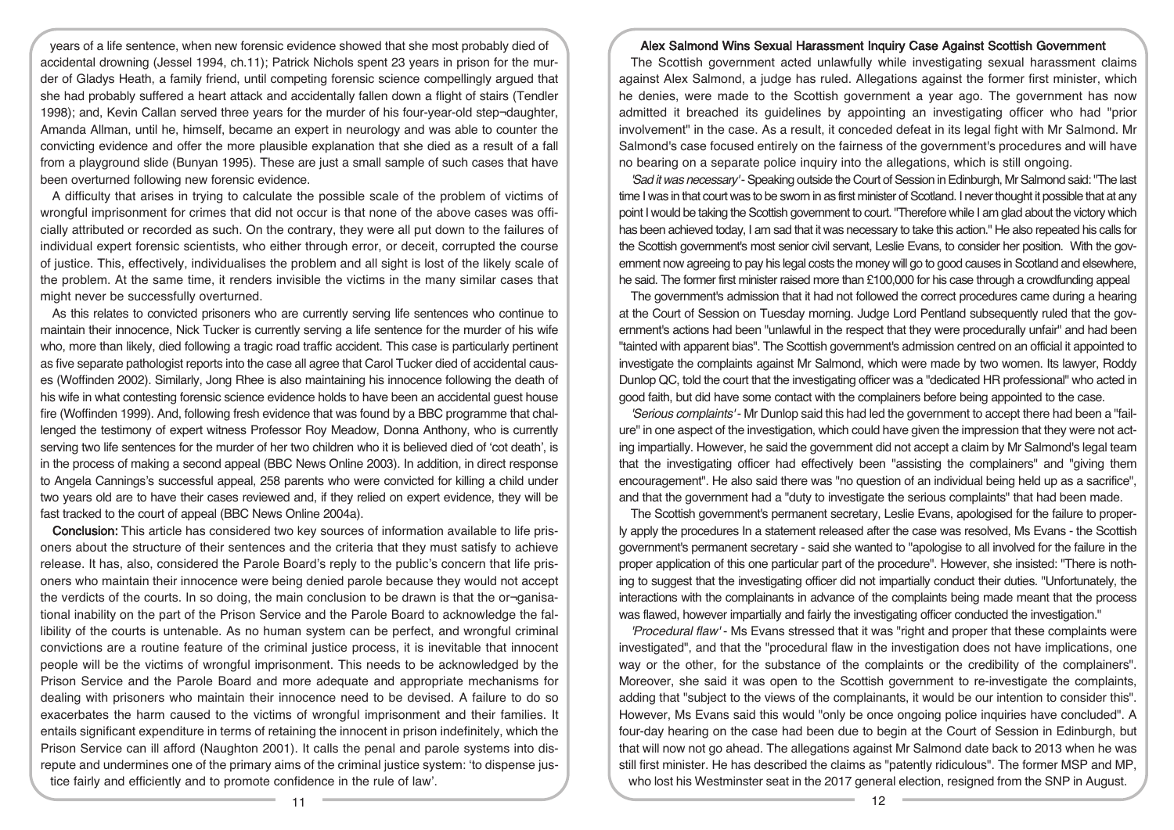years of a life sentence, when new forensic evidence showed that she most probably died of accidental drowning (Jessel 1994, ch.11); Patrick Nichols spent 23 years in prison for the murder of Gladys Heath, a family friend, until competing forensic science compellingly argued that she had probably suffered a heart attack and accidentally fallen down a flight of stairs (Tendler 1998); and, Kevin Callan served three years for the murder of his four-year-old step¬daughter, Amanda Allman, until he, himself, became an expert in neurology and was able to counter the convicting evidence and offer the more plausible explanation that she died as a result of a fall from a playground slide (Bunyan 1995). These are just a small sample of such cases that have been overturned following new forensic evidence.

A difficulty that arises in trying to calculate the possible scale of the problem of victims of wrongful imprisonment for crimes that did not occur is that none of the above cases was officially attributed or recorded as such. On the contrary, they were all put down to the failures of individual expert forensic scientists, who either through error, or deceit, corrupted the course of justice. This, effectively, individualises the problem and all sight is lost of the likely scale of the problem. At the same time, it renders invisible the victims in the many similar cases that might never be successfully overturned.

As this relates to convicted prisoners who are currently serving life sentences who continue to maintain their innocence, Nick Tucker is currently serving a life sentence for the murder of his wife who, more than likely, died following a tragic road traffic accident. This case is particularly pertinent as five separate pathologist reports into the case all agree that Carol Tucker died of accidental causes (Woffinden 2002). Similarly, Jong Rhee is also maintaining his innocence following the death of his wife in what contesting forensic science evidence holds to have been an accidental guest house fire (Woffinden 1999). And, following fresh evidence that was found by a BBC programme that challenged the testimony of expert witness Professor Roy Meadow, Donna Anthony, who is currently serving two life sentences for the murder of her two children who it is believed died of 'cot death', is in the process of making a second appeal (BBC News Online 2003). In addition, in direct response to Angela Cannings's successful appeal, 258 parents who were convicted for killing a child under two years old are to have their cases reviewed and, if they relied on expert evidence, they will be fast tracked to the court of appeal (BBC News Online 2004a).

Conclusion: This article has considered two key sources of information available to life prisoners about the structure of their sentences and the criteria that they must satisfy to achieve release. It has, also, considered the Parole Board's reply to the public's concern that life prisoners who maintain their innocence were being denied parole because they would not accept the verdicts of the courts. In so doing, the main conclusion to be drawn is that the or¬ganisational inability on the part of the Prison Service and the Parole Board to acknowledge the fallibility of the courts is untenable. As no human system can be perfect, and wrongful criminal convictions are a routine feature of the criminal justice process, it is inevitable that innocent people will be the victims of wrongful imprisonment. This needs to be acknowledged by the Prison Service and the Parole Board and more adequate and appropriate mechanisms for dealing with prisoners who maintain their innocence need to be devised. A failure to do so exacerbates the harm caused to the victims of wrongful imprisonment and their families. It entails significant expenditure in terms of retaining the innocent in prison indefinitely, which the Prison Service can ill afford (Naughton 2001). It calls the penal and parole systems into disrepute and undermines one of the primary aims of the criminal justice system: 'to dispense justice fairly and efficiently and to promote confidence in the rule of law'.

#### Alex Salmond Wins Sexual Harassment Inquiry Case Against Scottish Government

The Scottish government acted unlawfully while investigating sexual harassment claims against Alex Salmond, a judge has ruled. Allegations against the former first minister, which he denies, were made to the Scottish government a year ago. The government has now admitted it breached its guidelines by appointing an investigating officer who had "prior involvement" in the case. As a result, it conceded defeat in its legal fight with Mr Salmond. Mr Salmond's case focused entirely on the fairness of the government's procedures and will have no bearing on a separate police inquiry into the allegations, which is still ongoing.

'Sad it was necessary'- Speaking outside the Court of Session in Edinburgh, Mr Salmond said: "The last time I was in that court was to be sworn in as first minister of Scotland. I never thought it possible that at any point I would be taking the Scottish government to court. "Therefore while I am glad about the victory which has been achieved today, I am sad that it was necessary to take this action." He also repeated his calls for the Scottish government's most senior civil servant, Leslie Evans, to consider her position. With the government now agreeing to pay his legal costs the money will go to good causes in Scotland and elsewhere, he said. The former first minister raised more than £100,000 for his case through a crowdfunding appeal

The government's admission that it had not followed the correct procedures came during a hearing at the Court of Session on Tuesday morning. Judge Lord Pentland subsequently ruled that the government's actions had been "unlawful in the respect that they were procedurally unfair" and had been "tainted with apparent bias". The Scottish government's admission centred on an official it appointed to investigate the complaints against Mr Salmond, which were made by two women. Its lawyer, Roddy Dunlop QC, told the court that the investigating officer was a "dedicated HR professional" who acted in good faith, but did have some contact with the complainers before being appointed to the case.

'Serious complaints' - Mr Dunlop said this had led the government to accept there had been a "failure" in one aspect of the investigation, which could have given the impression that they were not acting impartially. However, he said the government did not accept a claim by Mr Salmond's legal team that the investigating officer had effectively been "assisting the complainers" and "giving them encouragement". He also said there was "no question of an individual being held up as a sacrifice", and that the government had a "duty to investigate the serious complaints" that had been made.

The Scottish government's permanent secretary, Leslie Evans, apologised for the failure to properly apply the procedures In a statement released after the case was resolved, Ms Evans - the Scottish government's permanent secretary - said she wanted to "apologise to all involved for the failure in the proper application of this one particular part of the procedure". However, she insisted: "There is nothing to suggest that the investigating officer did not impartially conduct their duties. "Unfortunately, the interactions with the complainants in advance of the complaints being made meant that the process was flawed, however impartially and fairly the investigating officer conducted the investigation."

'Procedural flaw' - Ms Evans stressed that it was "right and proper that these complaints were investigated", and that the "procedural flaw in the investigation does not have implications, one way or the other, for the substance of the complaints or the credibility of the complainers". Moreover, she said it was open to the Scottish government to re-investigate the complaints, adding that "subject to the views of the complainants, it would be our intention to consider this". However, Ms Evans said this would "only be once ongoing police inquiries have concluded". A four-day hearing on the case had been due to begin at the Court of Session in Edinburgh, but that will now not go ahead. The allegations against Mr Salmond date back to 2013 when he was still first minister. He has described the claims as "patently ridiculous". The former MSP and MP, who lost his Westminster seat in the 2017 general election, resigned from the SNP in August.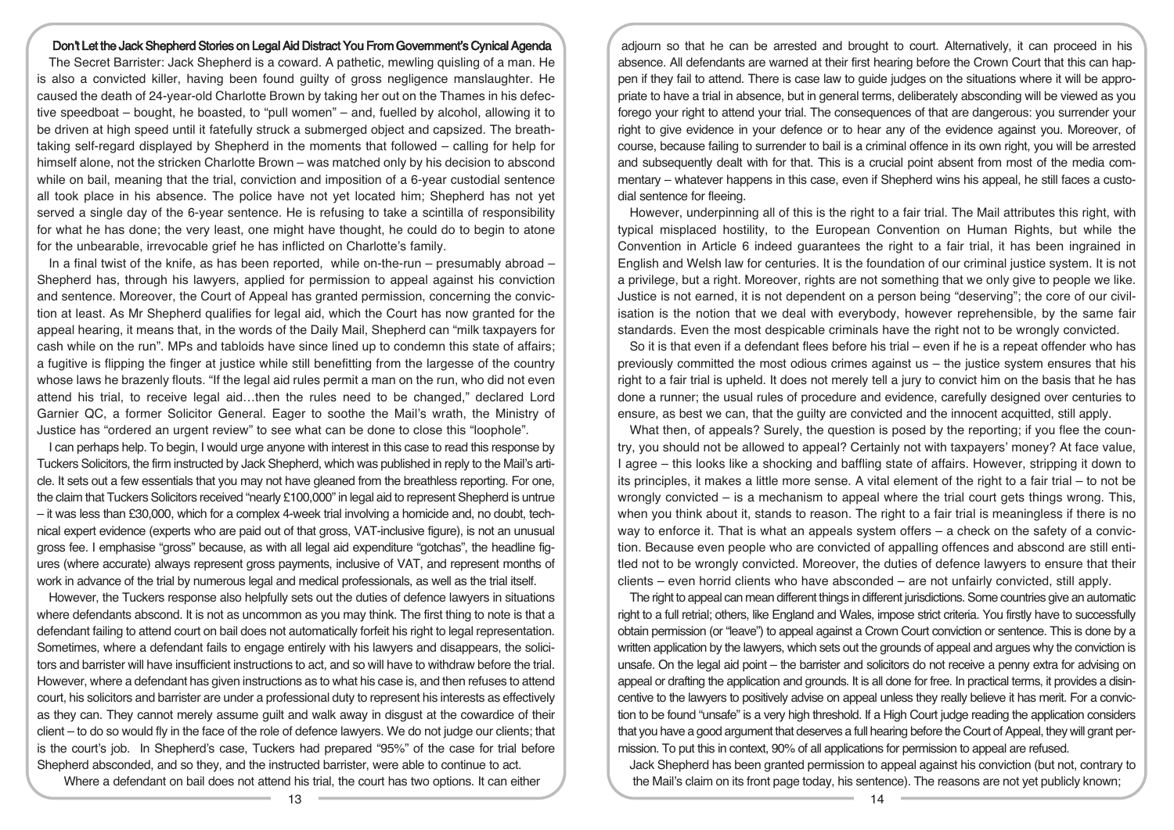## Don't Let the Jack Shepherd Stories on Legal Aid Distract You From Government's Cynical Agenda

The Secret Barrister: Jack Shepherd is a coward. A pathetic, mewling quisling of a man. He is also a convicted killer, having been found guilty of gross negligence manslaughter. He caused the death of 24-year-old Charlotte Brown by taking her out on the Thames in his defective speedboat – bought, he boasted, to "pull women" – and, fuelled by alcohol, allowing it to be driven at high speed until it fatefully struck a submerged object and capsized. The breathtaking self-regard displayed by Shepherd in the moments that followed – calling for help for himself alone, not the stricken Charlotte Brown – was matched only by his decision to abscond while on bail, meaning that the trial, conviction and imposition of a 6-year custodial sentence all took place in his absence. The police have not yet located him; Shepherd has not yet served a single day of the 6-year sentence. He is refusing to take a scintilla of responsibility for what he has done; the very least, one might have thought, he could do to begin to atone for the unbearable, irrevocable grief he has inflicted on Charlotte's family.

In a final twist of the knife, as has been reported, while on-the-run – presumably abroad – Shepherd has, through his lawyers, applied for permission to appeal against his conviction and sentence. Moreover, the Court of Appeal has granted permission, concerning the conviction at least. As Mr Shepherd qualifies for legal aid, which the Court has now granted for the appeal hearing, it means that, in the words of the Daily Mail, Shepherd can "milk taxpayers for cash while on the run". MPs and tabloids have since lined up to condemn this state of affairs; a fugitive is flipping the finger at justice while still benefitting from the largesse of the country whose laws he brazenly flouts. "If the legal aid rules permit a man on the run, who did not even attend his trial, to receive legal aid…then the rules need to be changed," declared Lord Garnier QC, a former Solicitor General. Eager to soothe the Mail's wrath, the Ministry of Justice has "ordered an urgent review" to see what can be done to close this "loophole".

I can perhaps help. To begin, I would urge anyone with interest in this case to read this response by Tuckers Solicitors, the firm instructed by Jack Shepherd, which was published in reply to the Mail's article. It sets out a few essentials that you may not have gleaned from the breathless reporting. For one, the claim that Tuckers Solicitors received "nearly £100,000" in legal aid to represent Shepherd is untrue – it was less than £30,000, which for a complex 4-week trial involving a homicide and, no doubt, technical expert evidence (experts who are paid out of that gross, VAT-inclusive figure), is not an unusual gross fee. I emphasise "gross" because, as with all legal aid expenditure "gotchas", the headline figures (where accurate) always represent gross payments, inclusive of VAT, and represent months of work in advance of the trial by numerous legal and medical professionals, as well as the trial itself.

However, the Tuckers response also helpfully sets out the duties of defence lawyers in situations where defendants abscond. It is not as uncommon as you may think. The first thing to note is that a defendant failing to attend court on bail does not automatically forfeit his right to legal representation. Sometimes, where a defendant fails to engage entirely with his lawyers and disappears, the solicitors and barrister will have insufficient instructions to act, and so will have to withdraw before the trial. However, where a defendant has given instructions as to what his case is, and then refuses to attend court, his solicitors and barrister are under a professional duty to represent his interests as effectively as they can. They cannot merely assume guilt and walk away in disgust at the cowardice of their client – to do so would fly in the face of the role of defence lawyers. We do not judge our clients; that is the court's job. In Shepherd's case, Tuckers had prepared "95%" of the case for trial before Shepherd absconded, and so they, and the instructed barrister, were able to continue to act.

Where a defendant on bail does not attend his trial, the court has two options. It can either

adjourn so that he can be arrested and brought to court. Alternatively, it can proceed in his absence. All defendants are warned at their first hearing before the Crown Court that this can happen if they fail to attend. There is case law to guide judges on the situations where it will be appropriate to have a trial in absence, but in general terms, deliberately absconding will be viewed as you forego your right to attend your trial. The consequences of that are dangerous: you surrender your right to give evidence in your defence or to hear any of the evidence against you. Moreover, of course, because failing to surrender to bail is a criminal offence in its own right, you will be arrested and subsequently dealt with for that. This is a crucial point absent from most of the media commentary – whatever happens in this case, even if Shepherd wins his appeal, he still faces a custodial sentence for fleeing.

However, underpinning all of this is the right to a fair trial. The Mail attributes this right, with typical misplaced hostility, to the European Convention on Human Rights, but while the Convention in Article 6 indeed guarantees the right to a fair trial, it has been ingrained in English and Welsh law for centuries. It is the foundation of our criminal justice system. It is not a privilege, but a right. Moreover, rights are not something that we only give to people we like. Justice is not earned, it is not dependent on a person being "deserving"; the core of our civilisation is the notion that we deal with everybody, however reprehensible, by the same fair standards. Even the most despicable criminals have the right not to be wrongly convicted.

So it is that even if a defendant flees before his trial – even if he is a repeat offender who has previously committed the most odious crimes against us – the justice system ensures that his right to a fair trial is upheld. It does not merely tell a jury to convict him on the basis that he has done a runner; the usual rules of procedure and evidence, carefully designed over centuries to ensure, as best we can, that the guilty are convicted and the innocent acquitted, still apply.

What then, of appeals? Surely, the question is posed by the reporting; if you flee the country, you should not be allowed to appeal? Certainly not with taxpayers' money? At face value, I agree – this looks like a shocking and baffling state of affairs. However, stripping it down to its principles, it makes a little more sense. A vital element of the right to a fair trial – to not be wrongly convicted – is a mechanism to appeal where the trial court gets things wrong. This, when you think about it, stands to reason. The right to a fair trial is meaningless if there is no way to enforce it. That is what an appeals system offers – a check on the safety of a conviction. Because even people who are convicted of appalling offences and abscond are still entitled not to be wrongly convicted. Moreover, the duties of defence lawyers to ensure that their clients – even horrid clients who have absconded – are not unfairly convicted, still apply.

The right to appeal can mean different things in different jurisdictions.Some countries give an automatic right to a full retrial; others, like England and Wales, impose strict criteria. You firstly have to successfully obtain permission (or "leave") to appeal against a Crown Court conviction or sentence. This is done by a written application by the lawyers, which sets out the grounds of appeal and argues why the conviction is unsafe. On the legal aid point – the barrister and solicitors do not receive a penny extra for advising on appeal or drafting the application and grounds. It is all done for free. In practical terms, it provides a disincentive to the lawyers to positively advise on appeal unless they really believe it has merit. For a conviction to be found "unsafe" is a very high threshold. If a High Court judge reading the application considers that you have a good argument that deserves a full hearing before the Court of Appeal, they will grant permission. To put this in context, 90% of all applications for permission to appeal are refused.

Jack Shepherd has been granted permission to appeal against his conviction (but not, contrary to the Mail's claim on its front page today, his sentence). The reasons are not yet publicly known;